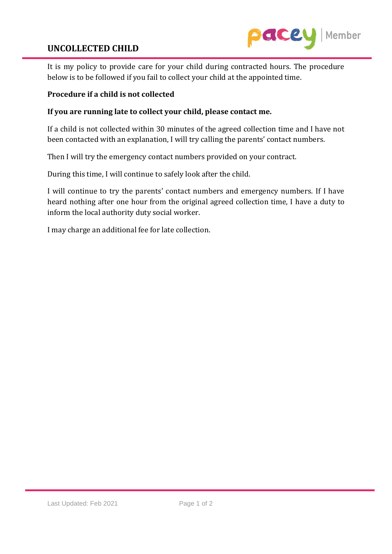## **UNCOLLECTED CHILD**



It is my policy to provide care for your child during contracted hours. The procedure below is to be followed if you fail to collect your child at the appointed time.

## **Procedure if a child is not collected**

## **If you are running late to collect your child, please contact me.**

If a child is not collected within 30 minutes of the agreed collection time and I have not been contacted with an explanation, I will try calling the parents' contact numbers.

Then I will try the emergency contact numbers provided on your contract.

During this time, I will continue to safely look after the child.

I will continue to try the parents' contact numbers and emergency numbers. If I have heard nothing after one hour from the original agreed collection time, I have a duty to inform the local authority duty social worker.

I may charge an additional fee for late collection.